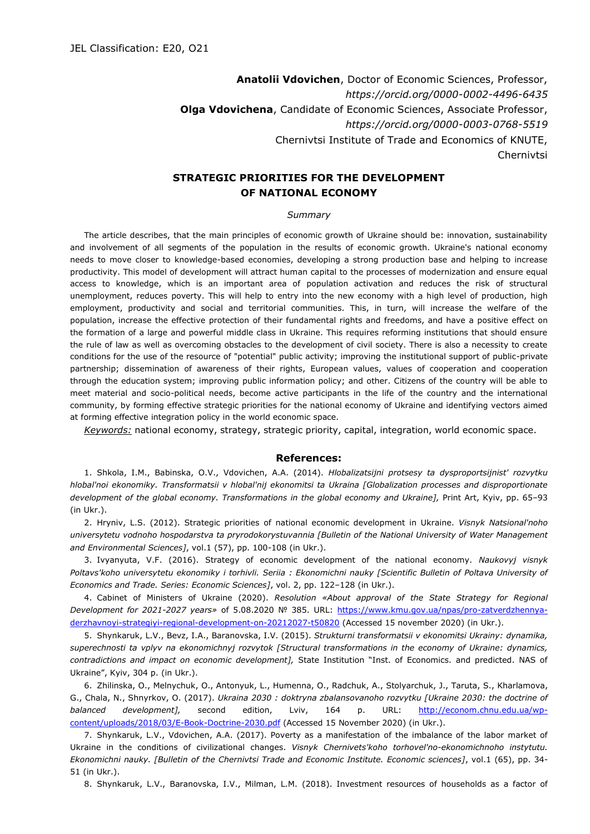**Anatolii Vdovichen**, Doctor of Economic Sciences, Professor, *https://orcid.org/0000-0002-4496-6435* **Olga Vdovichenа**, Candidate of Economic Sciences, Associate Professor, *https://orcid.org/0000-0003-0768-5519* Chernivtsi Institute of Trade and Economics of KNUTE, Chernivtsi

## **STRATEGIC PRIORITIES FOR THE DEVELOPMENT OF NATIONAL ECONOMY**

## *Summary*

The article describes, that the main principles of economic growth of Ukraine should be: innovation, sustainability and involvement of all segments of the population in the results of economic growth. Ukraine's national economy needs to move closer to knowledge-based economies, developing a strong production base and helping to increase productivity. This model of development will attract human capital to the processes of modernization and ensure equal access to knowledge, which is an important area of population activation and reduces the risk of structural unemployment, reduces poverty. This will help to entry into the new economy with a high level of production, high employment, productivity and social and territorial communities. This, in turn, will increase the welfare of the population, increase the effective protection of their fundamental rights and freedoms, and have a positive effect on the formation of a large and powerful middle class in Ukraine. This requires reforming institutions that should ensure the rule of law as well as overcoming obstacles to the development of civil society. There is also a necessity to create conditions for the use of the resource of "potential" public activity; improving the institutional support of public-private partnership; dissemination of awareness of their rights, European values, values of cooperation and cooperation through the education system; improving public information policy; and other. Citizens of the country will be able to meet material and socio-political needs, become active participants in the life of the country and the international community, by forming effective strategic priorities for the national economy of Ukraine and identifying vectors aimed at forming effective integration policy in the world economic space.

*Keywords:* national economy, strategy, strategic priority, capital, integration, world economic space.

## **References:**

1. Shkola, I.M., Babinska, O.V., Vdovichen, A.A. (2014). *Hlobalizatsijni protsesy ta dysproportsijnist' rozvytku hlobal'noi ekonomiky. Transformatsii v hlobal'nij ekonomitsi ta Ukraina [Globalization processes and disproportionate development of the global economy. Transformations in the global economy and Ukraine],* Print Art, Kyiv, pp. 65–93 (in Ukr.).

2. Hryniv, L.S. (2012). Strategic priorities of national economic development in Ukraine. *Visnyk Natsional'noho universytetu vodnoho hospodarstva ta pryrodokorystuvannia [Bulletin of the National University of Water Management and Environmental Sciences]*, vol.1 (57), pp. 100-108 (in Ukr.).

3. Ivyanyuta, V.F. (2016). Strategy of economic development of the national economy. *Naukovyj visnyk Poltavs'koho universytetu ekonomiky i torhivli. Seriia : Ekonomichni nauky [Scientific Bulletin of Poltava University of Economics and Trade. Series: Economic Sciences]*, vol. 2, pp. 122–128 (in Ukr.).

4. Cabinet of Ministers of Ukraine (2020). *Resolution «About approval of the State Strategy for Regional Development for 2021-2027 years»* of 5.08.2020 № 385. URL: [https://www.kmu.gov.ua/npas/pro-zatverdzhennya](https://www.kmu.gov.ua/npas/pro-zatverdzhennya-derzhavnoyi-strategiyi-%20regional-development-on-20212027-t50820)[derzhavnoyi-strategiyi-regional-development-on-20212027-t50820](https://www.kmu.gov.ua/npas/pro-zatverdzhennya-derzhavnoyi-strategiyi-%20regional-development-on-20212027-t50820) (Accessed 15 november 2020) (in Ukr.).

5. Shynkaruk, L.V., Bevz, I.A., Baranovska, I.V. (2015). *Strukturni transformatsii v ekonomitsi Ukrainy: dynamika, superechnosti ta vplyv na ekonomichnyj rozvytok [Structural transformations in the economy of Ukraine: dynamics, contradictions and impact on economic development],* State Institution "Inst. оf Economics. and predicted. NAS of Ukraine", Kyiv, 304 p. (in Ukr.).

6. Zhilinska, O., Melnychuk, O., Antonyuk, L., Humenna, O., Radchuk, A., Stolyarchuk, J., Taruta, S., Kharlamova, G., Chala, N., Shnyrkov, О. (2017). *Ukraina 2030 : doktryna zbalansovanoho rozvytku [Ukraine 2030: the doctrine of balanced development],* second edition, Lviv, 164 p. URL: [http://econom.chnu.edu.ua/wp](http://econom.chnu.edu.ua/wp-content/uploads/2018/03/E-Book-Doctrine-2030.pdf)[content/uploads/2018/03/E-Book-Doctrine-2030.pdf](http://econom.chnu.edu.ua/wp-content/uploads/2018/03/E-Book-Doctrine-2030.pdf) (Accessed 15 November 2020) (in Ukr.).

7. Shynkaruk, L.V., Vdovichen, A.A. (2017). Poverty as a manifestation of the imbalance of the labor market of Ukraine in the conditions of civilizational changes. *Visnyk Chernivets'koho torhovel'no-ekonomichnoho instytutu. Ekonomichni nauky. [Bulletin of the Chernivtsi Trade and Economic Institute. Economic sciences]*, vol.1 (65), рp. 34- 51 (in Ukr.).

8. Shynkaruk, L.V., Baranovska, I.V., Milman, L.M. (2018). Investment resources of households as a factor of